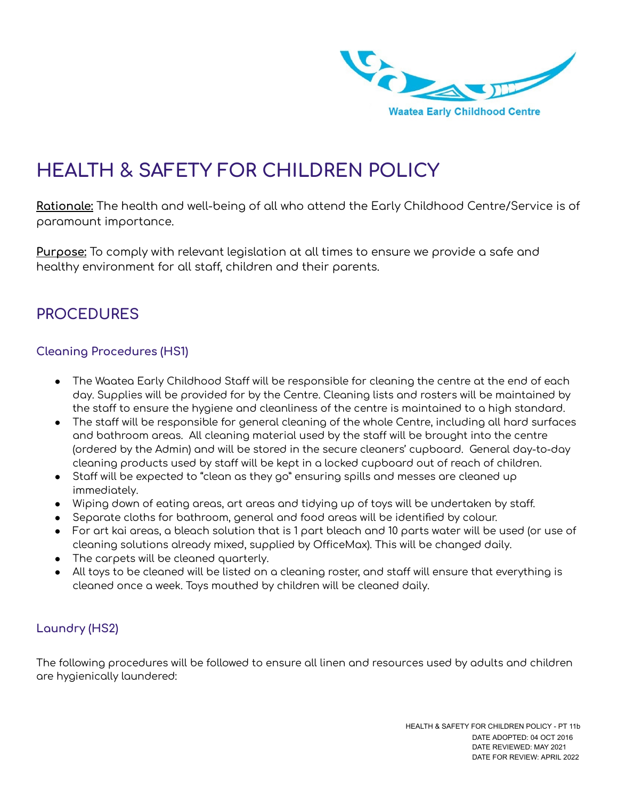

# **HEALTH & SAFETY FOR CHILDREN POLICY**

**Rationale:** The health and well-being of all who attend the Early Childhood Centre/Service is of paramount importance.

**Purpose:** To comply with relevant legislation at all times to ensure we provide a safe and healthy environment for all staff, children and their parents.

## **PROCEDURES**

#### **Cleaning Procedures (HS1)**

- The Waatea Early Childhood Staff will be responsible for cleaning the centre at the end of each day. Supplies will be provided for by the Centre. Cleaning lists and rosters will be maintained by the staff to ensure the hygiene and cleanliness of the centre is maintained to a high standard.
- The staff will be responsible for general cleaning of the whole Centre, including all hard surfaces and bathroom areas. All cleaning material used by the staff will be brought into the centre (ordered by the Admin) and will be stored in the secure cleaners' cupboard. General day-to-day cleaning products used by staff will be kept in a locked cupboard out of reach of children.
- Staff will be expected to "clean as they go" ensuring spills and messes are cleaned up immediately.
- Wiping down of eating areas, art areas and tidying up of toys will be undertaken by staff.
- Separate cloths for bathroom, general and food areas will be identified by colour.
- For art kai areas, a bleach solution that is 1 part bleach and 10 parts water will be used (or use of cleaning solutions already mixed, supplied by OfficeMax). This will be changed daily.
- The carpets will be cleaned quarterly.
- $\bullet$  All toys to be cleaned will be listed on a cleaning roster, and staff will ensure that everything is cleaned once a week. Toys mouthed by children will be cleaned daily.

## **Laundry (HS2)**

The following procedures will be followed to ensure all linen and resources used by adults and children are hygienically laundered: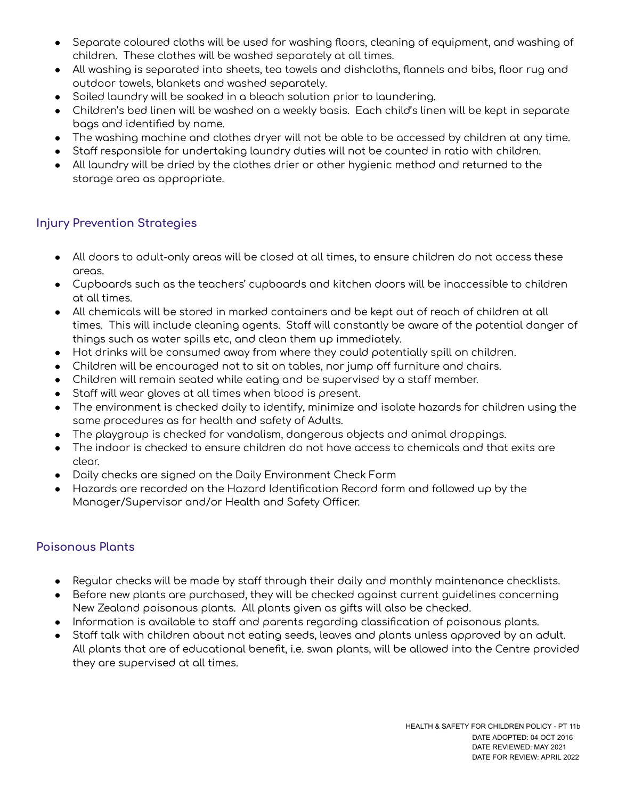- Separate coloured cloths will be used for washing floors, cleaning of equipment, and washing of children. These clothes will be washed separately at all times.
- All washing is separated into sheets, tea towels and dishcloths, flannels and bibs, floor rug and outdoor towels, blankets and washed separately.
- Soiled laundry will be soaked in a bleach solution prior to laundering.
- Children's bed linen will be washed on a weekly basis. Each child's linen will be kept in separate bags and identified by name.
- The washing machine and clothes dryer will not be able to be accessed by children at any time.
- Staff responsible for undertaking laundry duties will not be counted in ratio with children.
- All laundry will be dried by the clothes drier or other hygienic method and returned to the storage area as appropriate.

## **Injury Prevention Strategies**

- All doors to adult-only areas will be closed at all times, to ensure children do not access these areas.
- Cupboards such as the teachers' cupboards and kitchen doors will be inaccessible to children at all times.
- All chemicals will be stored in marked containers and be kept out of reach of children at all times. This will include cleaning agents. Staff will constantly be aware of the potential danger of things such as water spills etc, and clean them up immediately.
- Hot drinks will be consumed away from where they could potentially spill on children.
- Children will be encouraged not to sit on tables, nor jump off furniture and chairs.
- Children will remain seated while eating and be supervised by a staff member.
- Staff will wear gloves at all times when blood is present.
- The environment is checked daily to identify, minimize and isolate hazards for children using the same procedures as for health and safety of Adults.
- The playgroup is checked for vandalism, dangerous objects and animal droppings.
- The indoor is checked to ensure children do not have access to chemicals and that exits are clear.
- Daily checks are signed on the Daily Environment Check Form
- Hazards are recorded on the Hazard Identification Record form and followed up by the Manager/Supervisor and/or Health and Safety Officer.

## **Poisonous Plants**

- Regular checks will be made by staff through their daily and monthly maintenance checklists.
- Before new plants are purchased, they will be checked against current guidelines concerning New Zealand poisonous plants. All plants given as gifts will also be checked.
- Information is available to staff and parents regarding classification of poisonous plants.
- Staff talk with children about not eating seeds, leaves and plants unless approved by an adult. All plants that are of educational benefit, i.e. swan plants, will be allowed into the Centre provided they are supervised at all times.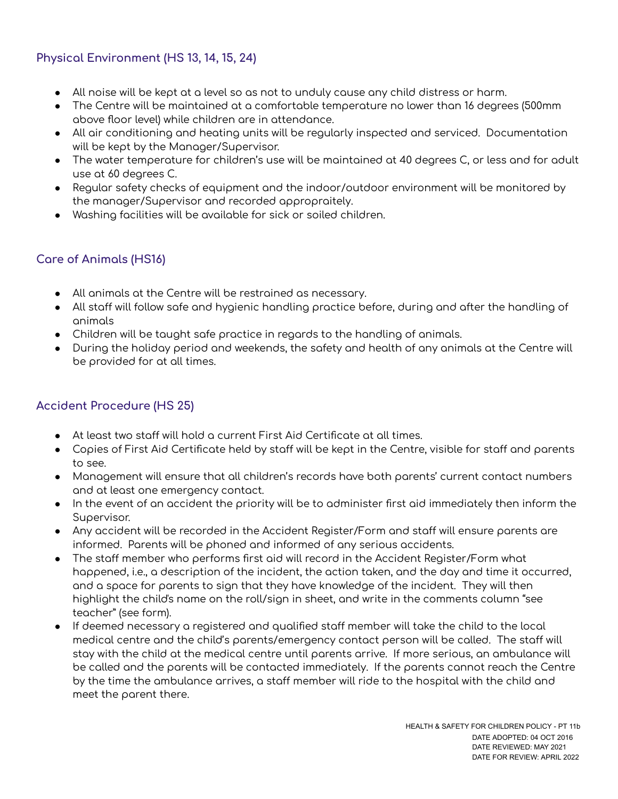## **Physical Environment (HS 13, 14, 15, 24)**

- All noise will be kept at a level so as not to unduly cause any child distress or harm.
- The Centre will be maintained at a comfortable temperature no lower than 16 degrees (500mm above floor level) while children are in attendance.
- All air conditioning and heating units will be regularly inspected and serviced. Documentation will be kept by the Manager/Supervisor.
- The water temperature for children's use will be maintained at 40 degrees C, or less and for adult use at 60 degrees C.
- Regular safety checks of equipment and the indoor/outdoor environment will be monitored by the manager/Supervisor and recorded appropraitely.
- Washing facilities will be available for sick or soiled children.

## **Care of Animals (HS16)**

- All animals at the Centre will be restrained as necessary.
- All staff will follow safe and hygienic handling practice before, during and after the handling of animals
- Children will be taught safe practice in regards to the handling of animals.
- During the holiday period and weekends, the safety and health of any animals at the Centre will be provided for at all times.

## **Accident Procedure (HS 25)**

- $\bullet$  At least two staff will hold a current First Aid Certificate at all times.
- Copies of First Aid Certificate held by staff will be kept in the Centre, visible for staff and parents to see.
- Management will ensure that all children's records have both parents' current contact numbers and at least one emergency contact.
- In the event of an accident the priority will be to administer first aid immediately then inform the Supervisor.
- Any accident will be recorded in the Accident Register/Form and staff will ensure parents are informed. Parents will be phoned and informed of any serious accidents.
- $\bullet$  The staff member who performs first aid will record in the Accident Register/Form what happened, i.e., a description of the incident, the action taken, and the day and time it occurred, and a space for parents to sign that they have knowledge of the incident. They will then highlight the child's name on the roll/sign in sheet, and write in the comments column "see teacher" (see form).
- If deemed necessary a registered and qualified staff member will take the child to the local medical centre and the child's parents/emergency contact person will be called. The staff will stay with the child at the medical centre until parents arrive. If more serious, an ambulance will be called and the parents will be contacted immediately. If the parents cannot reach the Centre by the time the ambulance arrives, a staff member will ride to the hospital with the child and meet the parent there.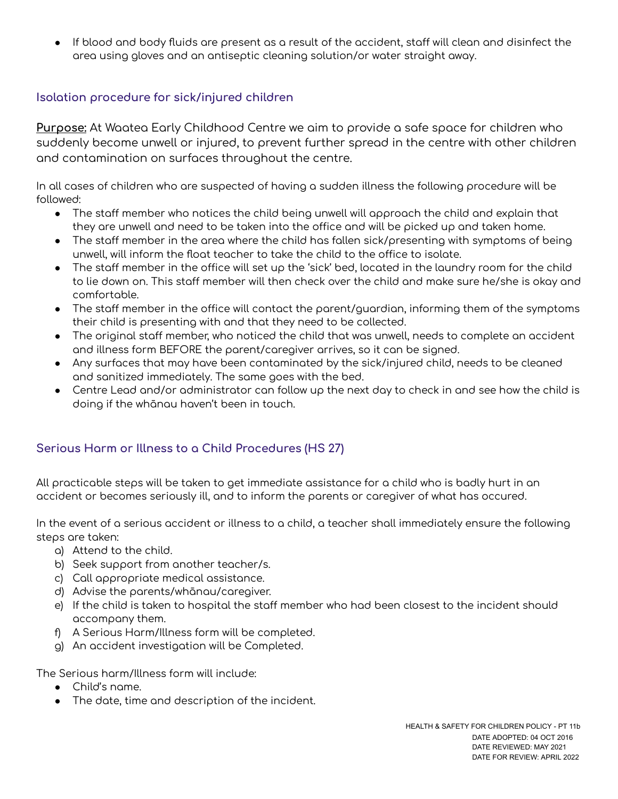If blood and body fluids are present as a result of the accident, staff will clean and disinfect the area using gloves and an antiseptic cleaning solution/or water straight away.

## **Isolation procedure for sick/injured children**

**Purpose:** At Waatea Early Childhood Centre we aim to provide a safe space for children who suddenly become unwell or injured, to prevent further spread in the centre with other children and contamination on surfaces throughout the centre.

In all cases of children who are suspected of having a sudden illness the following procedure will be followed:

- $\bullet$  The staff member who notices the child being unwell will approach the child and explain that they are unwell and need to be taken into the office and will be picked up and taken home.
- The staff member in the area where the child has fallen sick/presenting with symptoms of being unwell, will inform the float teacher to take the child to the office to isolate.
- The staff member in the office will set up the 'sick' bed, located in the laundry room for the child to lie down on. This staff member will then check over the child and make sure he/she is okay and comfortable.
- The staff member in the office will contact the parent/guardian, informing them of the symptoms their child is presenting with and that they need to be collected.
- $\bullet$  The original staff member, who noticed the child that was unwell, needs to complete an accident and illness form BEFORE the parent/caregiver arrives, so it can be signed.
- Any surfaces that may have been contaminated by the sick/injured child, needs to be cleaned and sanitized immediately. The same goes with the bed.
- Centre Lead and/or administrator can follow up the next day to check in and see how the child is doing if the whānau haven't been in touch.

## **Serious Harm or Illness to a Child Procedures (HS 27)**

All practicable steps will be taken to get immediate assistance for a child who is badly hurt in an accident or becomes seriously ill, and to inform the parents or caregiver of what has occured.

In the event of a serious accident or illness to a child, a teacher shall immediately ensure the following steps are taken:

- a) Attend to the child.
- b) Seek support from another teacher/s.
- c) Call appropriate medical assistance.
- d) Advise the parents/whānau/caregiver.
- e) If the child is taken to hospital the staff member who had been closest to the incident should accompany them.
- f) A Serious Harm/Illness form will be completed.
- g) An accident investigation will be Completed.

The Serious harm/Illness form will include:

- Child's name.
- The date, time and description of the incident.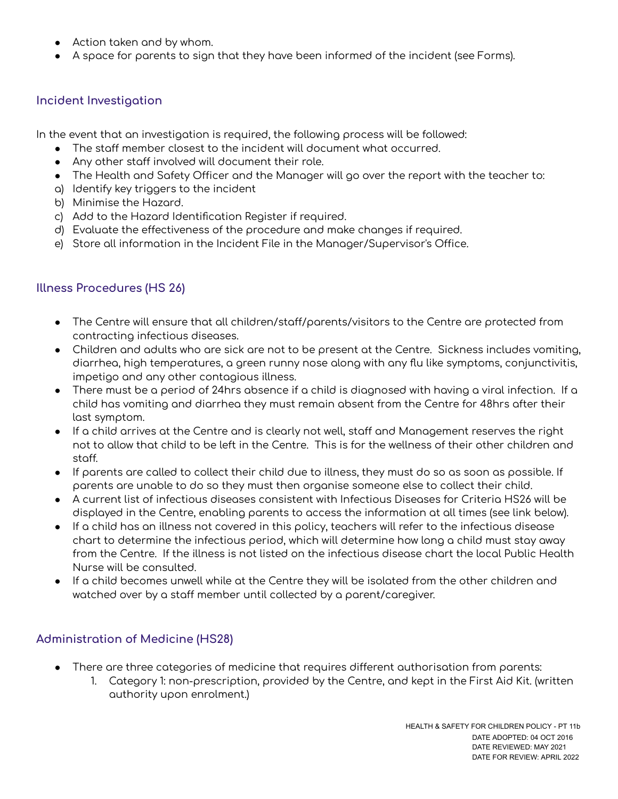- Action taken and by whom.
- A space for parents to sign that they have been informed of the incident (see Forms).

#### **Incident Investigation**

In the event that an investigation is required, the following process will be followed:

- The staff member closest to the incident will document what occurred.
- Any other staff involved will document their role.
- The Health and Safety Officer and the Manager will go over the report with the teacher to:
- a) Identify key triggers to the incident
- b) Minimise the Hazard.
- c) Add to the Hazard Identification Register if required.
- d) Evaluate the effectiveness of the procedure and make changes if required.
- e) Store all information in the Incident File in the Manager/Supervisor's Office.

#### **Illness Procedures (HS 26)**

- $\bullet$  The Centre will ensure that all children/staff/parents/visitors to the Centre are protected from contracting infectious diseases.
- Children and adults who are sick are not to be present at the Centre. Sickness includes vomiting, diarrhea, high temperatures, a green runny nose along with any flu like symptoms, conjunctivitis, impetigo and any other contagious illness.
- There must be a period of 24hrs absence if a child is diagnosed with having a viral infection. If a child has vomiting and diarrhea they must remain absent from the Centre for 48hrs after their last symptom.
- If a child arrives at the Centre and is clearly not well, staff and Management reserves the right not to allow that child to be left in the Centre. This is for the wellness of their other children and staff.
- If parents are called to collect their child due to illness, they must do so as soon as possible. If parents are unable to do so they must then organise someone else to collect their child.
- A current list of infectious diseases consistent with Infectious Diseases for Criteria HS26 will be displayed in the Centre, enabling parents to access the information at all times (see link below).
- If a child has an illness not covered in this policy, teachers will refer to the infectious disease chart to determine the infectious period, which will determine how long a child must stay away from the Centre. If the illness is not listed on the infectious disease chart the local Public Health Nurse will be consulted.
- If a child becomes unwell while at the Centre they will be isolated from the other children and watched over by a staff member until collected by a parent/caregiver.

#### **Administration of Medicine (HS28)**

- $\bullet$  There are three categories of medicine that requires different authorisation from parents:
	- 1. Category 1: non-prescription, provided by the Centre, and kept in the First Aid Kit. (written authority upon enrolment.)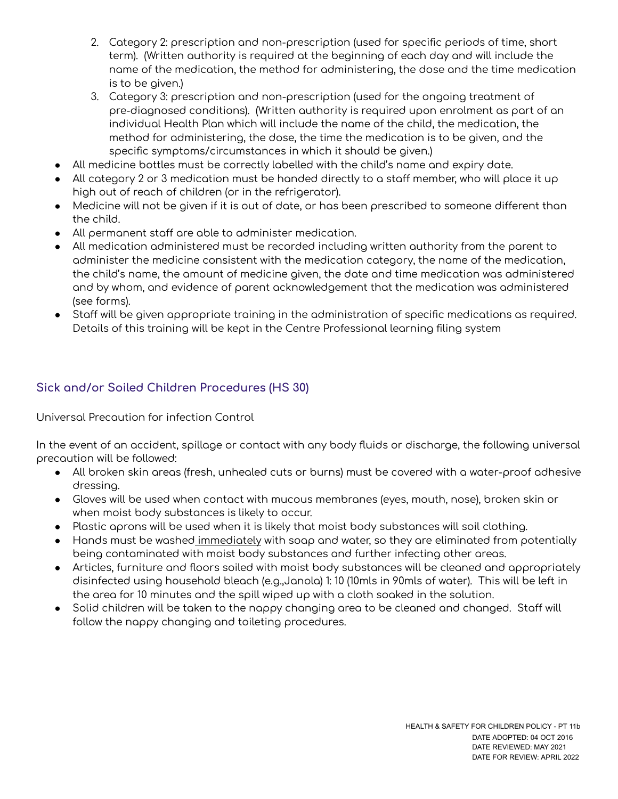- 2. Category 2: prescription and non-prescription (used for specific periods of time, short term). (Written authority is required at the beginning of each day and will include the name of the medication, the method for administering, the dose and the time medication is to be given.)
- 3. Category 3: prescription and non-prescription (used for the ongoing treatment of pre-diagnosed conditions). (Written authority is required upon enrolment as part of an individual Health Plan which will include the name of the child, the medication, the method for administering, the dose, the time the medication is to be given, and the specific symptoms/circumstances in which it should be given.)
- All medicine bottles must be correctly labelled with the child's name and expiry date.
- All category 2 or 3 medication must be handed directly to a staff member, who will place it up high out of reach of children (or in the refrigerator).
- Medicine will not be given if it is out of date, or has been prescribed to someone different than the child.
- All permanent staff are able to administer medication.
- All medication administered must be recorded including written authority from the parent to administer the medicine consistent with the medication category, the name of the medication, the child's name, the amount of medicine given, the date and time medication was administered and by whom, and evidence of parent acknowledgement that the medication was administered (see forms).
- Staff will be given appropriate training in the administration of specific medications as required. Details of this training will be kept in the Centre Professional learning filing system

## **Sick and/or Soiled Children Procedures (HS 30)**

Universal Precaution for infection Control

In the event of an accident, spillage or contact with any body fluids or discharge, the following universal precaution will be followed:

- All broken skin areas (fresh, unhealed cuts or burns) must be covered with a water-proof adhesive dressing.
- Gloves will be used when contact with mucous membranes (eyes, mouth, nose), broken skin or when moist body substances is likely to occur.
- Plastic aprons will be used when it is likely that moist body substances will soil clothing.
- Hands must be washed immediately with soap and water, so they are eliminated from potentially being contaminated with moist body substances and further infecting other areas.
- Articles, furniture and floors soiled with moist body substances will be cleaned and appropriately disinfected using household bleach (e.g.,Janola) 1: 10 (10mls in 90mls of water). This will be left in the area for 10 minutes and the spill wiped up with a cloth soaked in the solution.
- $\bullet$  Solid children will be taken to the nappy changing area to be cleaned and changed. Staff will follow the nappy changing and toileting procedures.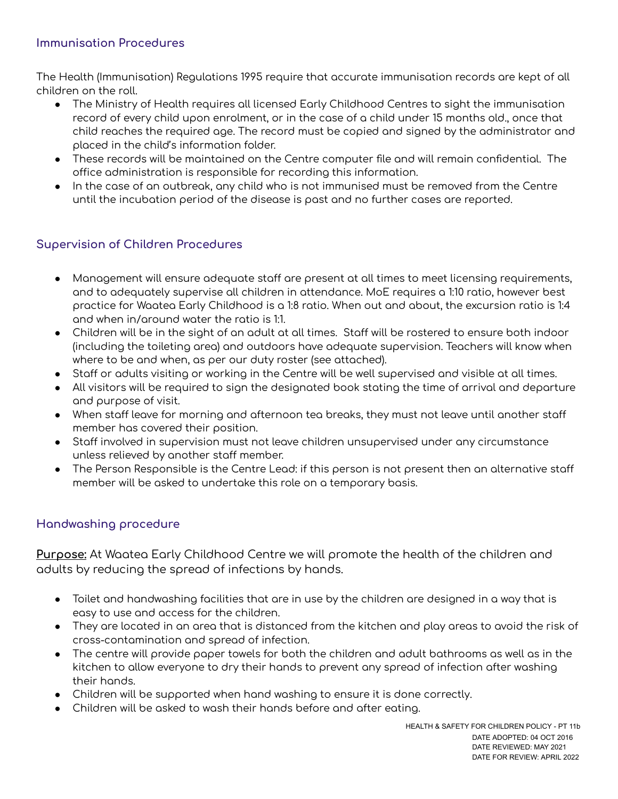#### **Immunisation Procedures**

The Health (Immunisation) Regulations 1995 require that accurate immunisation records are kept of all children on the roll.

- The Ministry of Health requires all licensed Early Childhood Centres to sight the immunisation record of every child upon enrolment, or in the case of a child under 15 months old., once that child reaches the required age. The record must be copied and signed by the administrator and placed in the child's information folder.
- These records will be maintained on the Centre computer file and will remain confidential. The office administration is responsible for recording this information.
- In the case of an outbreak, any child who is not immunised must be removed from the Centre until the incubation period of the disease is past and no further cases are reported.

## **Supervision of Children Procedures**

- Management will ensure adequate staff are present at all times to meet licensing requirements, and to adequately supervise all children in attendance. MoE requires a 1:10 ratio, however best practice for Waatea Early Childhood is a 1:8 ratio. When out and about, the excursion ratio is 1:4 and when in/around water the ratio is 1:1.
- Children will be in the sight of an adult at all times. Staff will be rostered to ensure both indoor (including the toileting area) and outdoors have adequate supervision. Teachers will know when where to be and when, as per our duty roster (see attached).
- Staff or adults visiting or working in the Centre will be well supervised and visible at all times.
- All visitors will be required to sign the designated book stating the time of arrival and departure and purpose of visit.
- When staff leave for morning and afternoon tea breaks, they must not leave until another staff member has covered their position.
- Staff involved in supervision must not leave children unsupervised under any circumstance unless relieved by another staff member.
- The Person Responsible is the Centre Lead: if this person is not present then an alternative staff member will be asked to undertake this role on a temporary basis.

## **Handwashing procedure**

**Purpose:** At Waatea Early Childhood Centre we will promote the health of the children and adults by reducing the spread of infections by hands.

- Toilet and handwashing facilities that are in use by the children are designed in a way that is easy to use and access for the children.
- They are located in an area that is distanced from the kitchen and play areas to avoid the risk of cross-contamination and spread of infection.
- The centre will provide paper towels for both the children and adult bathrooms as well as in the kitchen to allow everyone to dry their hands to prevent any spread of infection after washing their hands.
- Children will be supported when hand washing to ensure it is done correctly.
- Children will be asked to wash their hands before and after eating.